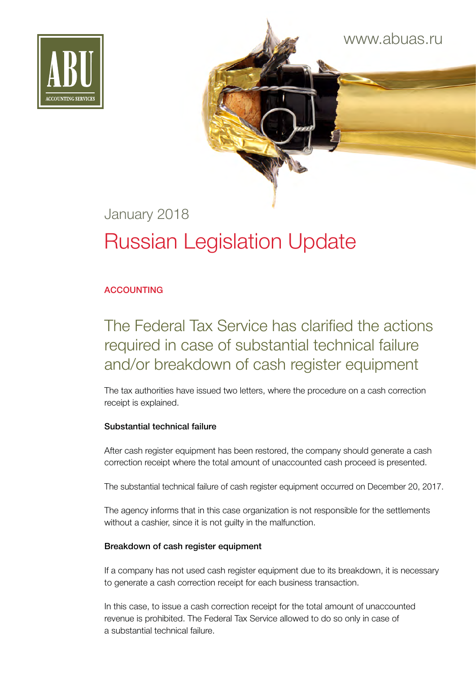



# January 2018 Russian Legislation Update

#### ACCOUNTING

The Federal Tax Service has clarified the actions required in case of substantial technical failure and/or breakdown of cash register equipment

The tax authorities have issued two letters, where the procedure on a cash correction receipt is explained.

#### Substantial technical failure

After cash register equipment has been restored, the company should generate a cash correction receipt where the total amount of unaccounted cash proceed is presented.

The substantial technical failure of cash register equipment occurred on December 20, 2017.

The agency informs that in this case organization is not responsible for the settlements without a cashier, since it is not guilty in the malfunction.

#### Breakdown of cash register equipment

If a company has not used cash register equipment due to its breakdown, it is necessary to generate a cash correction receipt for each business transaction.

In this case, to issue a cash correction receipt for the total amount of unaccounted revenue is prohibited. The Federal Tax Service allowed to do so only in case of a substantial technical failure.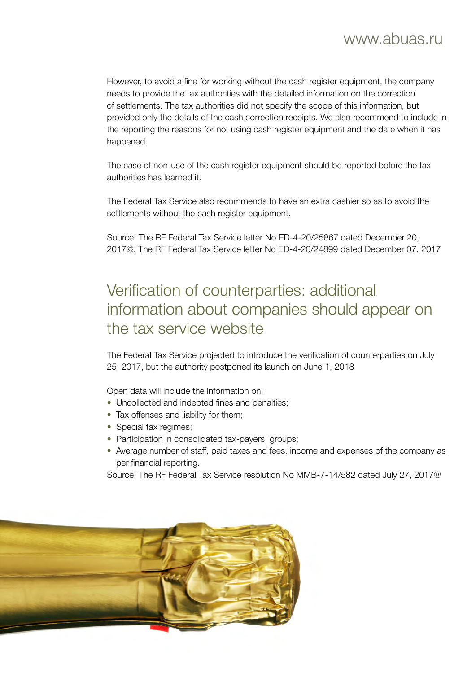However, to avoid a fine for working without the cash register equipment, the company needs to provide the tax authorities with the detailed information on the correction of settlements. The tax authorities did not specify the scope of this information, but provided only the details of the cash correction receipts. We also recommend to include in the reporting the reasons for not using cash register equipment and the date when it has happened.

The case of non-use of the cash register equipment should be reported before the tax authorities has learned it.

The Federal Tax Service also recommends to have an extra cashier so as to avoid the settlements without the cash register equipment.

Source: The RF Federal Tax Service letter No ED-4-20/25867 dated December 20, 2017@, The RF Federal Tax Service letter No ED-4-20/24899 dated December 07, 2017

### Verification of counterparties: additional information about companies should appear on the tax service website

The Federal Tax Service projected to introduce the verification of counterparties on July 25, 2017, but the authority postponed its launch on June 1, 2018

Open data will include the information on:

- Uncollected and indebted fines and penalties;
- Tax offenses and liability for them;
- Special tax regimes;
- Participation in consolidated tax-payers' groups;
- Average number of staff, paid taxes and fees, income and expenses of the company as per financial reporting.

Source: The RF Federal Tax Service resolution No ММВ-7-14/582 dated July 27, 2017@